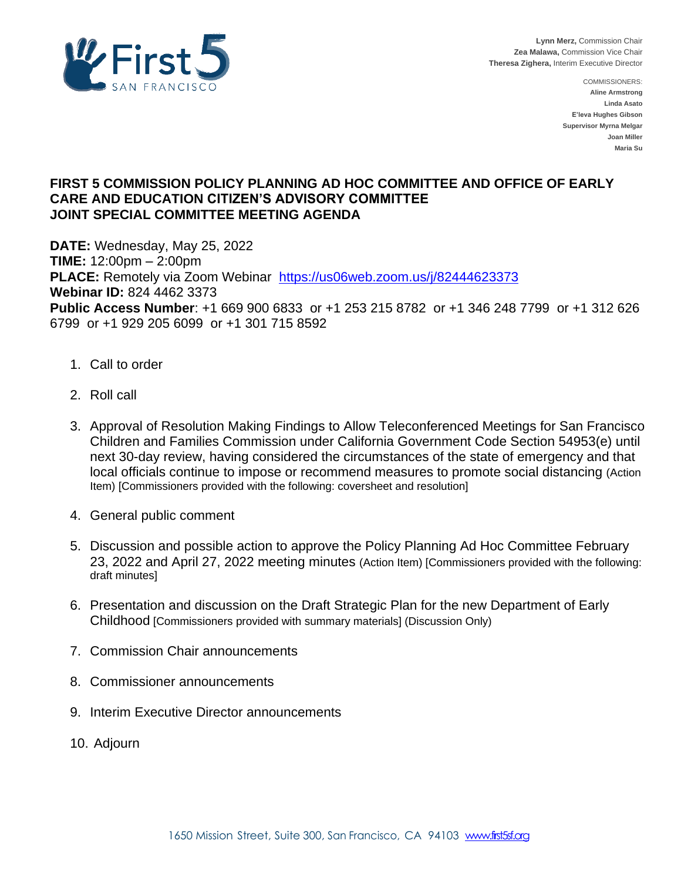

COMMISSIONERS: **Aline Armstrong Linda Asato E'leva Hughes Gibson Supervisor Myrna Melgar Joan Miller Maria Su**

# **FIRST 5 COMMISSION POLICY PLANNING AD HOC COMMITTEE AND OFFICE OF EARLY CARE AND EDUCATION CITIZEN'S ADVISORY COMMITTEE JOINT SPECIAL COMMITTEE MEETING AGENDA**

**DATE:** Wednesday, May 25, 2022 **TIME:** 12:00pm – 2:00pm **PLACE:** Remotely via Zoom Webinar<https://us06web.zoom.us/j/82444623373> **Webinar ID:** 824 4462 3373 **Public Access Number**: +1 669 900 6833 or +1 253 215 8782 or +1 346 248 7799 or +1 312 626 6799 or +1 929 205 6099 or +1 301 715 8592

- 1. Call to order
- 2. Roll call
- 3. Approval of Resolution Making Findings to Allow Teleconferenced Meetings for San Francisco Children and Families Commission under California Government Code Section 54953(e) until next 30-day review, having considered the circumstances of the state of emergency and that local officials continue to impose or recommend measures to promote social distancing (Action Item) [Commissioners provided with the following: coversheet and resolution]
- 4. General public comment
- 5. Discussion and possible action to approve the Policy Planning Ad Hoc Committee February 23, 2022 and April 27, 2022 meeting minutes (Action Item) [Commissioners provided with the following: draft minutes]
- 6. Presentation and discussion on the Draft Strategic Plan for the new Department of Early Childhood [Commissioners provided with summary materials] (Discussion Only)
- 7. Commission Chair announcements
- 8. Commissioner announcements
- 9. Interim Executive Director announcements
- 10. Adjourn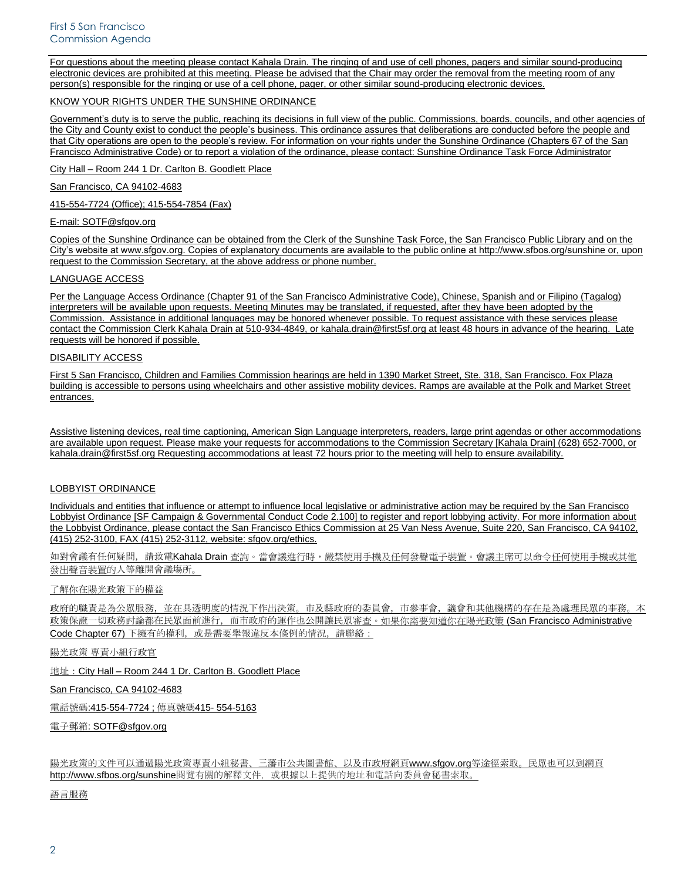For questions about the meeting please contact Kahala Drain. The ringing of and use of cell phones, pagers and similar sound-producing electronic devices are prohibited at this meeting. Please be advised that the Chair may order the removal from the meeting room of any person(s) responsible for the ringing or use of a cell phone, pager, or other similar sound-producing electronic devices.

## KNOW YOUR RIGHTS UNDER THE SUNSHINE ORDINANCE

Government's duty is to serve the public, reaching its decisions in full view of the public. Commissions, boards, councils, and other agencies of the City and County exist to conduct the people's business. This ordinance assures that deliberations are conducted before the people and that City operations are open to the people's review. For information on your rights under the Sunshine Ordinance (Chapters 67 of the San Francisco Administrative Code) or to report a violation of the ordinance, please contact: Sunshine Ordinance Task Force Administrator

City Hall – Room 244 1 Dr. Carlton B. Goodlett Place

# San Francisco, CA 94102-4683

415-554-7724 (Office); 415-554-7854 (Fax)

# E-mail: SOTF@sfgov.org

Copies of the Sunshine Ordinance can be obtained from the Clerk of the Sunshine Task Force, the San Francisco Public Library and on the City's website at www.sfgov.org. Copies of explanatory documents are available to the public online at http://www.sfbos.org/sunshine or, upon request to the Commission Secretary, at the above address or phone number.

#### LANGUAGE ACCESS

Per the Language Access Ordinance (Chapter 91 of the San Francisco Administrative Code), Chinese, Spanish and or Filipino (Tagalog) interpreters will be available upon requests. Meeting Minutes may be translated, if requested, after they have been adopted by the Commission. Assistance in additional languages may be honored whenever possible. To request assistance with these services please contact the Commission Clerk Kahala Drain at 510-934-4849, or kahala.drain@first5sf.org at least 48 hours in advance of the hearing. Late requests will be honored if possible.

# DISABILITY ACCESS

First 5 San Francisco, Children and Families Commission hearings are held in 1390 Market Street, Ste. 318, San Francisco. Fox Plaza building is accessible to persons using wheelchairs and other assistive mobility devices. Ramps are available at the Polk and Market Street entrances.

Assistive listening devices, real time captioning, American Sign Language interpreters, readers, large print agendas or other accommodations are available upon request. Please make your requests for accommodations to the Commission Secretary [Kahala Drain] (628) 652-7000, or kahala.drain@first5sf.org Requesting accommodations at least 72 hours prior to the meeting will help to ensure availability.

# LOBBYIST ORDINANCE

Individuals and entities that influence or attempt to influence local legislative or administrative action may be required by the San Francisco Lobbyist Ordinance [SF Campaign & Governmental Conduct Code 2.100] to register and report lobbying activity. For more information about the Lobbyist Ordinance, please contact the San Francisco Ethics Commission at 25 Van Ness Avenue, Suite 220, San Francisco, CA 94102, (415) 252-3100, FAX (415) 252-3112, website: sfgov.org/ethics.

如對會議有任何疑問,請致電Kahala Drain 查詢。當會議進行時,嚴禁使用手機及任何發聲電子裝置。會議主席可以命令任何使用手機或其他 發出聲音装置的人等離開會議場所。

# 了解你在陽光政策下的權益

政府的職責是為公眾服務,並在具透明度的情況下作出決策。市及縣政府的委員會,市參事會,議會和其他機構的存在是為處理民眾的事務。本 政策保證一切政務討論都在民眾面前進行,而市政府的運作也公開讓民眾審查。如果你需要知道你在陽光政策 (San Francisco Administrative Code Chapter 67) 下擁有的權利, 或是需要舉報違反本條例的情況, 請聯絡:

陽光政策 專責小組行政官

地址:City Hall – Room 244 1 Dr. Carlton B. Goodlett Place

San Francisco, CA 94102-4683

電話號碼:415-554-7724 ; 傳真號碼415- 554-5163

電子郵箱: SOTF@sfgov.org

陽光政策的文件可以通過陽光政策專責小組秘書、三藩市公共圖書館、以及市政府網頁www.sfgov.org等途徑索取。民眾也可以到網頁 http://www.sfbos.org/sunshine閱覽有關的解釋文件,或根據以上提供的地址和電話向委員會秘書索取。

語言服務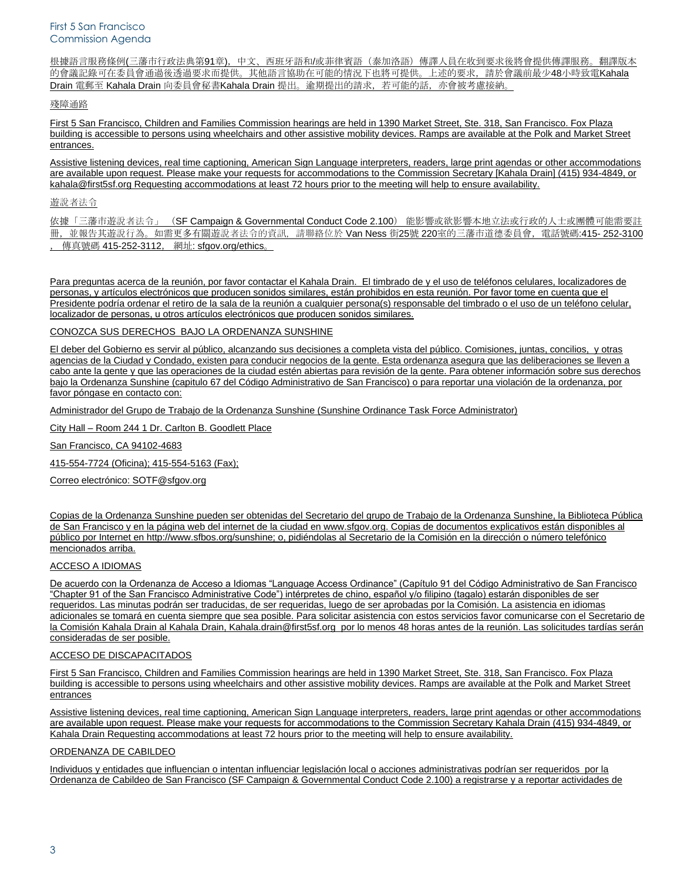根據語言服務條例(三藩市行政法典第91章),中文、西班牙語和/或菲律賓語(泰加洛語)傳譯人員在收到要求後將會提供傳譯服務。翻譯版本 的會議記錄可在委員會通過後透過要求而提供。其他語言協助在可能的情況下也將可提供。上述的要求,請於會議前最少48小時致電Kahala Drain 電郵至 Kahala Drain 向委員會秘書Kahala Drain 提出。逾期提出的請求,若可能的話,亦會被考慮接納。

#### 殘障通路

First 5 San Francisco, Children and Families Commission hearings are held in 1390 Market Street, Ste. 318, San Francisco. Fox Plaza building is accessible to persons using wheelchairs and other assistive mobility devices. Ramps are available at the Polk and Market Street entrances.

Assistive listening devices, real time captioning, American Sign Language interpreters, readers, large print agendas or other accommodations are available upon request. Please make your requests for accommodations to the Commission Secretary [Kahala Drain] (415) 934-4849, or kahala@first5sf.org Requesting accommodations at least 72 hours prior to the meeting will help to ensure availability.

# 遊說者法令

依據「三藩市遊說者法令」 (SF Campaign & Governmental Conduct Code 2.100) 能影響或欲影響本地立法或行政的人士或團體可能需要註 冊,並報告其遊說行為。如需更多有關遊說者法令的資訊,請聯絡位於 Van Ness 街25號 220室的三藩市道德委員會,電話號碼:415-252-3100 傳真號碼 415-252-3112, 網址: sfgov.org/ethics

Para preguntas acerca de la reunión, por favor contactar el Kahala Drain. El timbrado de y el uso de teléfonos celulares, localizadores de personas, y artículos electrónicos que producen sonidos similares, están prohibidos en esta reunión. Por favor tome en cuenta que el Presidente podría ordenar el retiro de la sala de la reunión a cualquier persona(s) responsable del timbrado o el uso de un teléfono celular, localizador de personas, u otros artículos electrónicos que producen sonidos similares.

#### CONOZCA SUS DERECHOS BAJO LA ORDENANZA SUNSHINE

El deber del Gobierno es servir al público, alcanzando sus decisiones a completa vista del público. Comisiones, juntas, concilios, y otras agencias de la Ciudad y Condado, existen para conducir negocios de la gente. Esta ordenanza asegura que las deliberaciones se lleven a cabo ante la gente y que las operaciones de la ciudad estén abiertas para revisión de la gente. Para obtener información sobre sus derechos bajo la Ordenanza Sunshine (capitulo 67 del Código Administrativo de San Francisco) o para reportar una violación de la ordenanza, por favor póngase en contacto con:

Administrador del Grupo de Trabajo de la Ordenanza Sunshine (Sunshine Ordinance Task Force Administrator)

City Hall – Room 244 1 Dr. Carlton B. Goodlett Place

San Francisco, CA 94102-4683

415-554-7724 (Oficina); 415-554-5163 (Fax);

Correo electrónico: SOTF@sfgov.org

Copias de la Ordenanza Sunshine pueden ser obtenidas del Secretario del grupo de Trabajo de la Ordenanza Sunshine, la Biblioteca Pública de San Francisco y en la página web del internet de la ciudad en www.sfgov.org. Copias de documentos explicativos están disponibles al público por Internet en http://www.sfbos.org/sunshine; o, pidiéndolas al Secretario de la Comisión en la dirección o número telefónico mencionados arriba.

#### ACCESO A IDIOMAS

De acuerdo con la Ordenanza de Acceso a Idiomas "Language Access Ordinance" (Capítulo 91 del Código Administrativo de San Francisco "Chapter 91 of the San Francisco Administrative Code") intérpretes de chino, español y/o filipino (tagalo) estarán disponibles de ser requeridos. Las minutas podrán ser traducidas, de ser requeridas, luego de ser aprobadas por la Comisión. La asistencia en idiomas adicionales se tomará en cuenta siempre que sea posible. Para solicitar asistencia con estos servicios favor comunicarse con el Secretario de la Comisión Kahala Drain al Kahala Drain, Kahala.drain@first5sf.org por lo menos 48 horas antes de la reunión. Las solicitudes tardías serán consideradas de ser posible.

# ACCESO DE DISCAPACITADOS

First 5 San Francisco, Children and Families Commission hearings are held in 1390 Market Street, Ste. 318, San Francisco. Fox Plaza building is accessible to persons using wheelchairs and other assistive mobility devices. Ramps are available at the Polk and Market Street entrances

Assistive listening devices, real time captioning, American Sign Language interpreters, readers, large print agendas or other accommodations are available upon request. Please make your requests for accommodations to the Commission Secretary Kahala Drain (415) 934-4849, or Kahala Drain Requesting accommodations at least 72 hours prior to the meeting will help to ensure availability.

# ORDENANZA DE CABILDEO

Individuos y entidades que influencian o intentan influenciar legislación local o acciones administrativas podrían ser requeridos por la Ordenanza de Cabildeo de San Francisco (SF Campaign & Governmental Conduct Code 2.100) a registrarse y a reportar actividades de